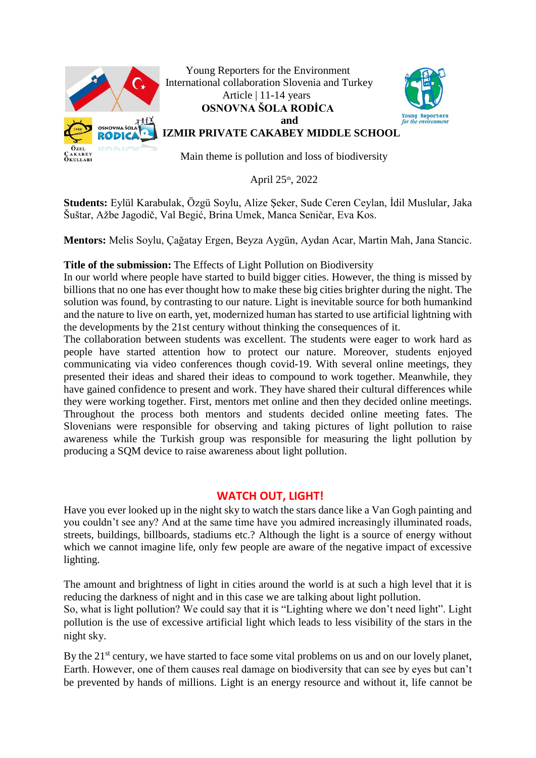

Young Reporters for the Environment International collaboration Slovenia and Turkey Article | 11-14 years **OSNOVNA ŠOLA RODİCA and**



**RADICABLE** IZMIR PRIVATE CAKABEY MIDDLE SCHOOL

Main theme is pollution and loss of biodiversity

April 25<sup>th</sup>, 2022

**Students:** Eylül Karabulak, Özgü Soylu, Alize Şeker, Sude Ceren Ceylan, İdil Muslular, Jaka Šuštar, Ažbe Jagodič, Val Begić, Brina Umek, Manca Seničar, Eva Kos.

**Mentors:** Melis Soylu, Çağatay Ergen, Beyza Aygün, Aydan Acar, Martin Mah, Jana Stancic.

**Title of the submission:** The Effects of Light Pollution on Biodiversity

In our world where people have started to build bigger cities. However, the thing is missed by billions that no one has ever thought how to make these big cities brighter during the night. The solution was found, by contrasting to our nature. Light is inevitable source for both humankind and the nature to live on earth, yet, modernized human has started to use artificial lightning with the developments by the 21st century without thinking the consequences of it.

The collaboration between students was excellent. The students were eager to work hard as people have started attention how to protect our nature. Moreover, students enjoyed communicating via video conferences though covid-19. With several online meetings, they presented their ideas and shared their ideas to compound to work together. Meanwhile, they have gained confidence to present and work. They have shared their cultural differences while they were working together. First, mentors met online and then they decided online meetings. Throughout the process both mentors and students decided online meeting fates. The Slovenians were responsible for observing and taking pictures of light pollution to raise awareness while the Turkish group was responsible for measuring the light pollution by producing a SQM device to raise awareness about light pollution.

## **WATCH OUT, LIGHT!**

Have you ever looked up in the night sky to watch the stars dance like a Van Gogh painting and you couldn't see any? And at the same time have you admired increasingly illuminated roads, streets, buildings, billboards, stadiums etc.? Although the light is a source of energy without which we cannot imagine life, only few people are aware of the negative impact of excessive lighting.

The amount and brightness of light in cities around the world is at such a high level that it is reducing the darkness of night and in this case we are talking about light pollution.

So, what is light pollution? We could say that it is "Lighting where we don't need light". Light pollution is the use of excessive artificial light which leads to less visibility of the stars in the night sky.

By the 21<sup>st</sup> century, we have started to face some vital problems on us and on our lovely planet, Earth. However, one of them causes real damage on biodiversity that can see by eyes but can't be prevented by hands of millions. Light is an energy resource and without it, life cannot be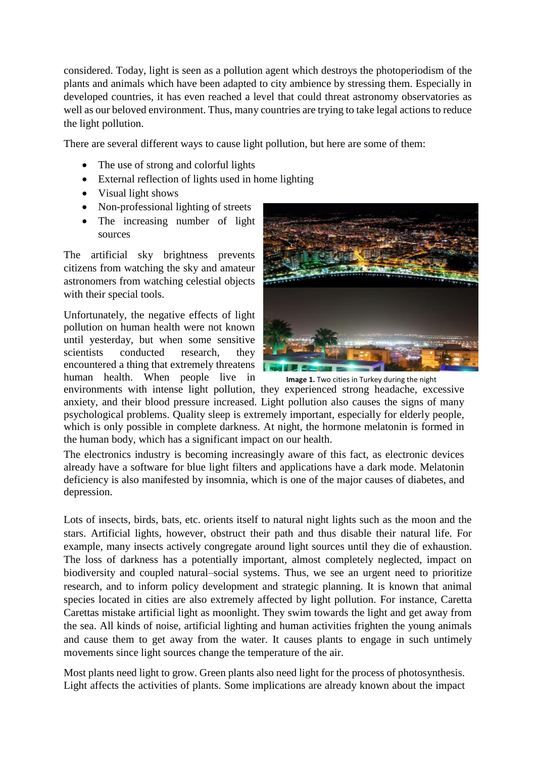considered. Today, light is seen as a pollution agent which destroys the photoperiodism of the plants and animals which have been adapted to city ambience by stressing them. Especially in developed countries, it has even reached a level that could threat astronomy observatories as well as our beloved environment. Thus, many countries are trying to take legal actions to reduce the light pollution.

There are several different ways to cause light pollution, but here are some of them:

- The use of strong and colorful lights
- External reflection of lights used in home lighting
- Visual light shows
- Non-professional lighting of streets
- The increasing number of light sources

The artificial sky brightness prevents citizens from watching the sky and amateur astronomers from watching celestial objects with their special tools.

Unfortunately, the negative effects of light pollution on human health were not known until yesterday, but when some sensitive scientists conducted research, they encountered a thing that extremely threatens human health. When people live in



**Image 1.** Two cities in Turkey during the night

environments with intense light pollution, they experienced strong headache, excessive anxiety, and their blood pressure increased. Light pollution also causes the signs of many psychological problems. Quality sleep is extremely important, especially for elderly people, which is only possible in complete darkness. At night, the hormone melatonin is formed in the human body, which has a significant impact on our health.

The electronics industry is becoming increasingly aware of this fact, as electronic devices already have a software for blue light filters and applications have a dark mode. Melatonin deficiency is also manifested by insomnia, which is one of the major causes of diabetes, and depression.

Lots of insects, birds, bats, etc. orients itself to natural night lights such as the moon and the stars. Artificial lights, however, obstruct their path and thus disable their natural life. For example, many insects actively congregate around light sources until they die of exhaustion. The loss of darkness has a potentially important, almost completely neglected, impact on biodiversity and coupled natural–social systems. Thus, we see an urgent need to prioritize research, and to inform policy development and strategic planning. It is known that animal species located in cities are also extremely affected by light pollution. For instance, Caretta Carettas mistake artificial light as moonlight. They swim towards the light and get away from the sea. All kinds of noise, artificial lighting and human activities frighten the young animals and cause them to get away from the water. It causes plants to engage in such untimely movements since light sources change the temperature of the air.

Most plants need light to grow. Green plants also need light for the process of photosynthesis. Light affects the activities of plants. Some implications are already known about the impact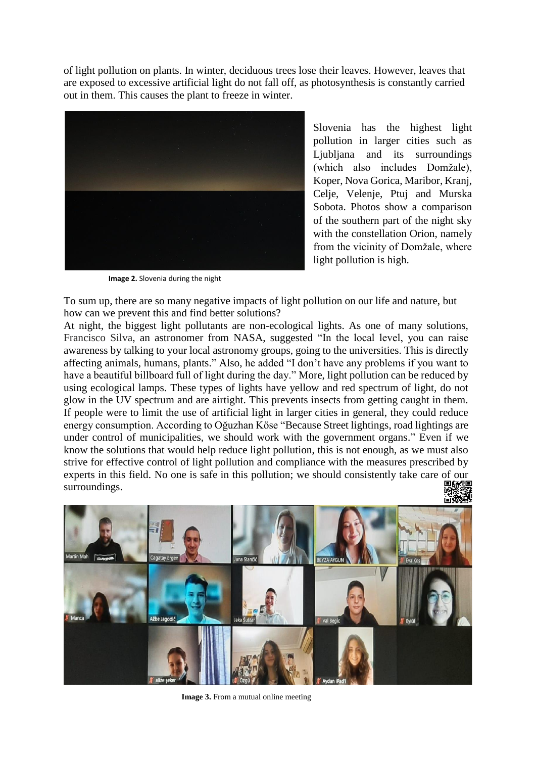of light pollution on plants. In winter, deciduous trees lose their leaves. However, leaves that are exposed to excessive artificial light do not fall off, as photosynthesis is constantly carried out in them. This causes the plant to freeze in winter.



Slovenia has the highest light pollution in larger cities such as Ljubljana and its surroundings (which also includes Domžale), Koper, Nova Gorica, Maribor, Kranj, Celje, Velenje, Ptuj and Murska Sobota. Photos show a comparison of the southern part of the night sky with the constellation Orion, namely from the vicinity of Domžale, where light pollution is high.

**Image 2.** Slovenia during the night

To sum up, there are so many negative impacts of light pollution on our life and nature, but how can we prevent this and find better solutions?

At night, the biggest light pollutants are non-ecological lights. As one of many solutions, Francisco Silva, an astronomer from NASA, suggested "In the local level, you can raise awareness by talking to your local astronomy groups, going to the universities. This is directly affecting animals, humans, plants." Also, he added "I don't have any problems if you want to have a beautiful billboard full of light during the day." More, light pollution can be reduced by using ecological lamps. These types of lights have yellow and red spectrum of light, do not glow in the UV spectrum and are airtight. This prevents insects from getting caught in them. If people were to limit the use of artificial light in larger cities in general, they could reduce energy consumption. According to Oğuzhan Köse "Because Street lightings, road lightings are under control of municipalities, we should work with the government organs." Even if we know the solutions that would help reduce light pollution, this is not enough, as we must also strive for effective control of light pollution and compliance with the measures prescribed by experts in this field. No one is safe in this pollution; we should consistently take care of our surroundings.



**Image 3.** From a mutual online meeting